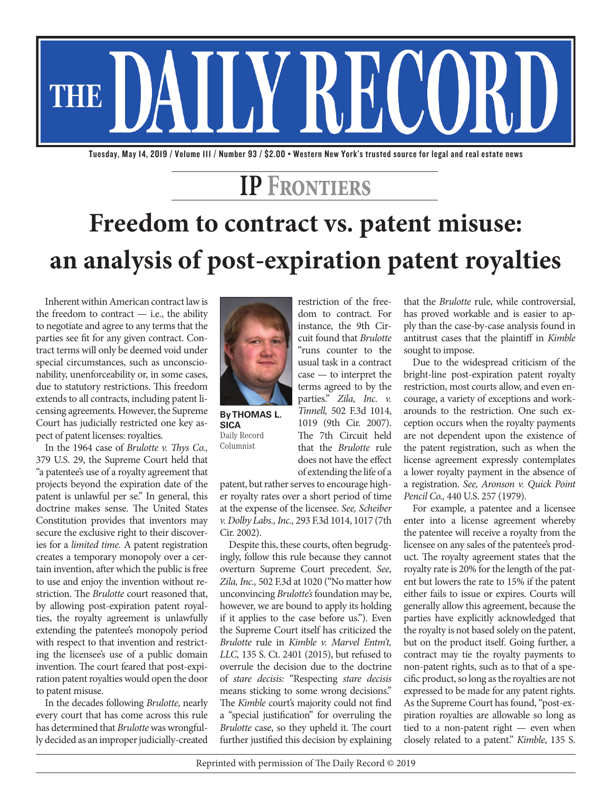

Tuesday, May 14, 2019 / Volume 111 / Number 93 / \$2.00 • Western New York's trusted source for legal and real estate news

## **IP Frontiers**

## **Freedom to contract vs. patent misuse: an analysis of post-expiration patent royalties**

Inherent within American contract law is the freedom to contract  $-$  i.e., the ability to negotiate and agree to any terms that the parties see fit for any given contract. Contract terms will only be deemed void under special circumstances, such as unconscionability, unenforceability or, in some cases, due to statutory restrictions. This freedom extends to all contracts, including patent licensing agreements. However, the Supreme Court has judicially restricted one key aspect of patent licenses: royalties.

In the 1964 case of *Brulotte v. Thys Co.,* 379 U.S. 29, the Supreme Court held that "a patentee's use of a royalty agreement that projects beyond the expiration date of the patent is unlawful per se." In general, this doctrine makes sense. The United States Constitution provides that inventors may secure the exclusive right to their discoveries for a *limited time.* A patent registration creates a temporary monopoly over a certain invention, after which the public is free to use and enjoy the invention without restriction. The *Brulotte* court reasoned that, by allowing post-expiration patent royalties, the royalty agreement is unlawfully extending the patentee's monopoly period with respect to that invention and restricting the licensee's use of a public domain invention. The court feared that post-expiration patent royalties would open the door to patent misuse.

In the decades following *Brulotte*, nearly every court that has come across this rule has determined that *Brulotte* was wrongfully decided as an improper judicially-created



**By THOMAS L. SICA** Daily Record Columnist

restriction of the freedom to contract. For instance, the 9th Circuit found that *Brulotte* "runs counter to the usual task in a contract case — to interpret the terms agreed to by the parties." *Zila, Inc. v. Tinnell,* 502 F.3d 1014, 1019 (9th Cir. 2007). The 7th Circuit held that the *Brulotte* rule does not have the effect of extending the life of a

patent, but rather serves to encourage higher royalty rates over a short period of time at the expense of the licensee. *See, Scheiber v. Dolby Labs., Inc.,* 293 F.3d 1014, 1017 (7th Cir. 2002).

Despite this, these courts, often begrudgingly, follow this rule because they cannot overturn Supreme Court precedent. *See, Zila, Inc.,* 502 F.3d at 1020 ("No matter how unconvincing *Brulotte's* foundation may be, however, we are bound to apply its holding if it applies to the case before us."). Even the Supreme Court itself has criticized the *Brulotte* rule in *Kimble v. Marvel Entm't, LLC,* 135 S. Ct. 2401 (2015), but refused to overrule the decision due to the doctrine of *stare decisis:* "Respecting *stare decisis* means sticking to some wrong decisions." The *Kimble* court's majority could not find a "special justification" for overruling the *Brulotte* case, so they upheld it. The court further justified this decision by explaining that the *Brulotte* rule, while controversial, has proved workable and is easier to apply than the case-by-case analysis found in antitrust cases that the plaintiff in *Kimble* sought to impose.

Due to the widespread criticism of the bright-line post-expiration patent royalty restriction, most courts allow, and even encourage, a variety of exceptions and workarounds to the restriction. One such exception occurs when the royalty payments are not dependent upon the existence of the patent registration, such as when the license agreement expressly contemplates a lower royalty payment in the absence of a registration. *See, Aronson v. Quick Point Pencil Co.,* 440 U.S. 257 (1979).

For example, a patentee and a licensee enter into a license agreement whereby the patentee will receive a royalty from the licensee on any sales of the patentee's product. The royalty agreement states that the royalty rate is 20% for the length of the patent but lowers the rate to 15% if the patent either fails to issue or expires. Courts will generally allow this agreement, because the parties have explicitly acknowledged that the royalty is not based solely on the patent, but on the product itself. Going further, a contract may tie the royalty payments to non-patent rights, such as to that of a specific product, so long as the royalties are not expressed to be made for any patent rights. As the Supreme Court has found, "post-expiration royalties are allowable so long as tied to a non-patent right — even when closely related to a patent." *Kimble*, 135 S.